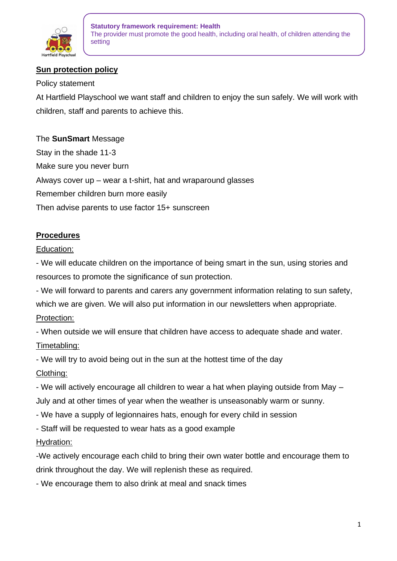

# **Sun protection policy**

### Policy statement

At Hartfield Playschool we want staff and children to enjoy the sun safely. We will work with children, staff and parents to achieve this.

The **SunSmart** Message Stay in the shade 11-3 Make sure you never burn Always cover up – wear a t-shirt, hat and wraparound glasses Remember children burn more easily Then advise parents to use factor 15+ sunscreen

# **Procedures**

Education:

- We will educate children on the importance of being smart in the sun, using stories and resources to promote the significance of sun protection.

- We will forward to parents and carers any government information relating to sun safety, which we are given. We will also put information in our newsletters when appropriate. Protection:

- When outside we will ensure that children have access to adequate shade and water. Timetabling:

- We will try to avoid being out in the sun at the hottest time of the day Clothing:

- We will actively encourage all children to wear a hat when playing outside from May – July and at other times of year when the weather is unseasonably warm or sunny.

- We have a supply of legionnaires hats, enough for every child in session
- Staff will be requested to wear hats as a good example

# Hydration:

-We actively encourage each child to bring their own water bottle and encourage them to drink throughout the day. We will replenish these as required.

- We encourage them to also drink at meal and snack times